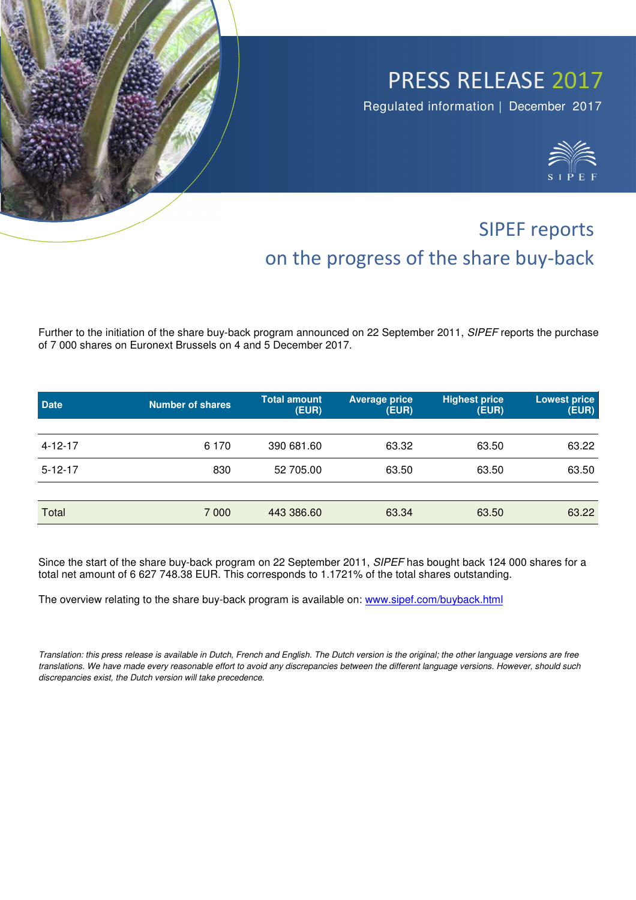## PRESS RELEASE 2017

Regulated information | December 2017



## SIPEF reports on the progress of the share buy-back

Further to the initiation of the share buy-back program announced on 22 September 2011, *SIPEF* reports the purchase of 7 000 shares on Euronext Brussels on 4 and 5 December 2017.

| <b>Date</b>   | Number of shares | <b>Total amount</b><br>(EUR) | <b>Average price</b><br>(EUR) | <b>Highest price</b><br>(EUR) | <b>Lowest price</b><br>(EUR) |
|---------------|------------------|------------------------------|-------------------------------|-------------------------------|------------------------------|
|               |                  |                              |                               |                               |                              |
| $4 - 12 - 17$ | 6 1 7 0          | 390 681.60                   | 63.32                         | 63.50                         | 63.22                        |
| $5 - 12 - 17$ | 830              | 52 705.00                    | 63.50                         | 63.50                         | 63.50                        |
|               |                  |                              |                               |                               |                              |
| Total         | 7 0 0 0          | 443 386.60                   | 63.34                         | 63.50                         | 63.22                        |

Since the start of the share buy-back program on 22 September 2011, *SIPEF* has bought back 124 000 shares for a total net amount of 6 627 748.38 EUR. This corresponds to 1.1721% of the total shares outstanding.

The overview relating to the share buy-back program is available on: www.sipef.com/buyback.html

*Translation: this press release is available in Dutch, French and English. The Dutch version is the original; the other language versions are free translations. We have made every reasonable effort to avoid any discrepancies between the different language versions. However, should such discrepancies exist, the Dutch version will take precedence.*